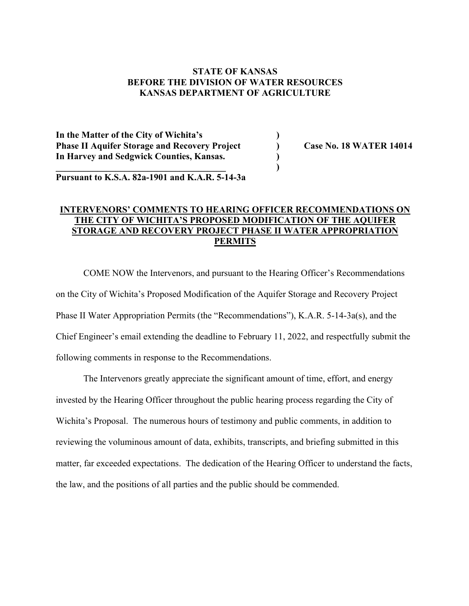# **STATE OF KANSAS BEFORE THE DIVISION OF WATER RESOURCES KANSAS DEPARTMENT OF AGRICULTURE**

**In the Matter of the City of Wichita's ) Phase II Aquifer Storage and Recovery Project ) Case No. 18 WATER 14014 In Harvey and Sedgwick Counties, Kansas. )**

**Pursuant to K.S.A. 82a-1901 and K.A.R. 5-14-3a**

**\_\_\_\_\_\_\_\_\_\_\_\_\_\_\_\_\_\_\_\_\_\_\_\_\_\_\_\_\_\_\_\_\_\_\_\_\_ )**

# **INTERVENORS' COMMENTS TO HEARING OFFICER RECOMMENDATIONS ON THE CITY OF WICHITA'S PROPOSED MODIFICATION OF THE AQUIFER STORAGE AND RECOVERY PROJECT PHASE II WATER APPROPRIATION PERMITS**

COME NOW the Intervenors, and pursuant to the Hearing Officer's Recommendations on the City of Wichita's Proposed Modification of the Aquifer Storage and Recovery Project Phase II Water Appropriation Permits (the "Recommendations"), K.A.R. 5-14-3a(s), and the Chief Engineer's email extending the deadline to February 11, 2022, and respectfully submit the following comments in response to the Recommendations.

The Intervenors greatly appreciate the significant amount of time, effort, and energy invested by the Hearing Officer throughout the public hearing process regarding the City of Wichita's Proposal. The numerous hours of testimony and public comments, in addition to reviewing the voluminous amount of data, exhibits, transcripts, and briefing submitted in this matter, far exceeded expectations. The dedication of the Hearing Officer to understand the facts, the law, and the positions of all parties and the public should be commended.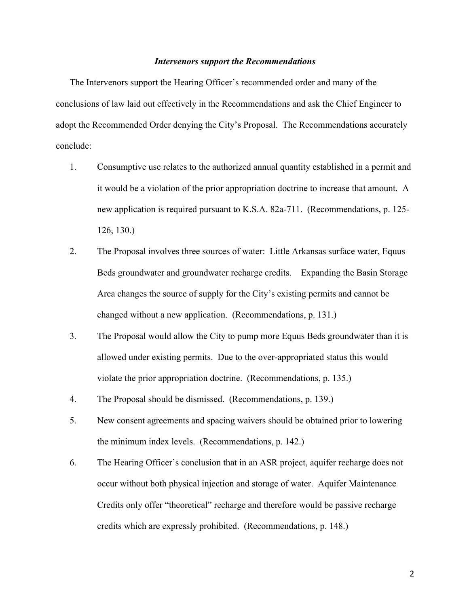#### *Intervenors support the Recommendations*

The Intervenors support the Hearing Officer's recommended order and many of the conclusions of law laid out effectively in the Recommendations and ask the Chief Engineer to adopt the Recommended Order denying the City's Proposal. The Recommendations accurately conclude:

- 1. Consumptive use relates to the authorized annual quantity established in a permit and it would be a violation of the prior appropriation doctrine to increase that amount. A new application is required pursuant to K.S.A. 82a-711. (Recommendations, p. 125- 126, 130.)
- 2. The Proposal involves three sources of water: Little Arkansas surface water, Equus Beds groundwater and groundwater recharge credits. Expanding the Basin Storage Area changes the source of supply for the City's existing permits and cannot be changed without a new application. (Recommendations, p. 131.)
- 3. The Proposal would allow the City to pump more Equus Beds groundwater than it is allowed under existing permits. Due to the over-appropriated status this would violate the prior appropriation doctrine. (Recommendations, p. 135.)
- 4. The Proposal should be dismissed. (Recommendations, p. 139.)
- 5. New consent agreements and spacing waivers should be obtained prior to lowering the minimum index levels. (Recommendations, p. 142.)
- 6. The Hearing Officer's conclusion that in an ASR project, aquifer recharge does not occur without both physical injection and storage of water. Aquifer Maintenance Credits only offer "theoretical" recharge and therefore would be passive recharge credits which are expressly prohibited. (Recommendations, p. 148.)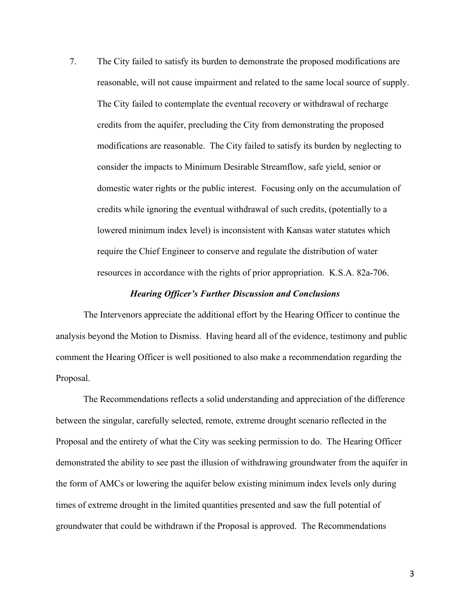7. The City failed to satisfy its burden to demonstrate the proposed modifications are reasonable, will not cause impairment and related to the same local source of supply. The City failed to contemplate the eventual recovery or withdrawal of recharge credits from the aquifer, precluding the City from demonstrating the proposed modifications are reasonable. The City failed to satisfy its burden by neglecting to consider the impacts to Minimum Desirable Streamflow, safe yield, senior or domestic water rights or the public interest. Focusing only on the accumulation of credits while ignoring the eventual withdrawal of such credits, (potentially to a lowered minimum index level) is inconsistent with Kansas water statutes which require the Chief Engineer to conserve and regulate the distribution of water resources in accordance with the rights of prior appropriation. K.S.A. 82a-706.

#### *Hearing Officer's Further Discussion and Conclusions*

The Intervenors appreciate the additional effort by the Hearing Officer to continue the analysis beyond the Motion to Dismiss. Having heard all of the evidence, testimony and public comment the Hearing Officer is well positioned to also make a recommendation regarding the Proposal.

The Recommendations reflects a solid understanding and appreciation of the difference between the singular, carefully selected, remote, extreme drought scenario reflected in the Proposal and the entirety of what the City was seeking permission to do. The Hearing Officer demonstrated the ability to see past the illusion of withdrawing groundwater from the aquifer in the form of AMCs or lowering the aquifer below existing minimum index levels only during times of extreme drought in the limited quantities presented and saw the full potential of groundwater that could be withdrawn if the Proposal is approved. The Recommendations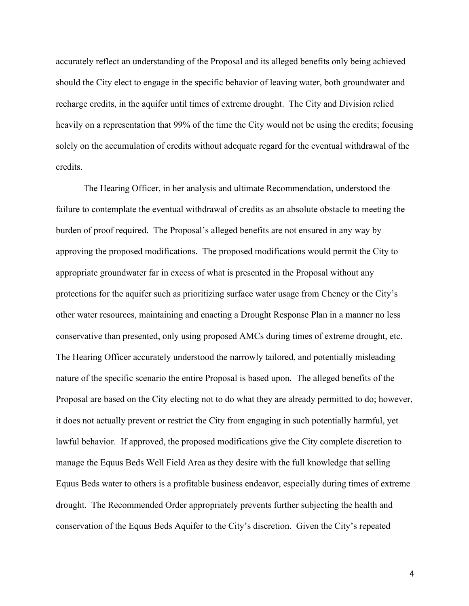accurately reflect an understanding of the Proposal and its alleged benefits only being achieved should the City elect to engage in the specific behavior of leaving water, both groundwater and recharge credits, in the aquifer until times of extreme drought. The City and Division relied heavily on a representation that 99% of the time the City would not be using the credits; focusing solely on the accumulation of credits without adequate regard for the eventual withdrawal of the credits.

The Hearing Officer, in her analysis and ultimate Recommendation, understood the failure to contemplate the eventual withdrawal of credits as an absolute obstacle to meeting the burden of proof required. The Proposal's alleged benefits are not ensured in any way by approving the proposed modifications. The proposed modifications would permit the City to appropriate groundwater far in excess of what is presented in the Proposal without any protections for the aquifer such as prioritizing surface water usage from Cheney or the City's other water resources, maintaining and enacting a Drought Response Plan in a manner no less conservative than presented, only using proposed AMCs during times of extreme drought, etc. The Hearing Officer accurately understood the narrowly tailored, and potentially misleading nature of the specific scenario the entire Proposal is based upon. The alleged benefits of the Proposal are based on the City electing not to do what they are already permitted to do; however, it does not actually prevent or restrict the City from engaging in such potentially harmful, yet lawful behavior. If approved, the proposed modifications give the City complete discretion to manage the Equus Beds Well Field Area as they desire with the full knowledge that selling Equus Beds water to others is a profitable business endeavor, especially during times of extreme drought. The Recommended Order appropriately prevents further subjecting the health and conservation of the Equus Beds Aquifer to the City's discretion. Given the City's repeated

4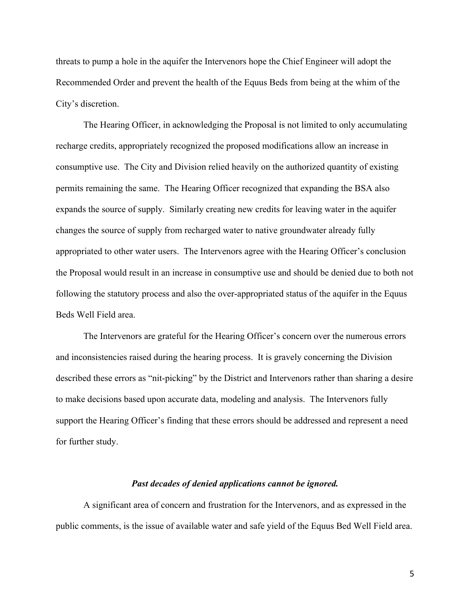threats to pump a hole in the aquifer the Intervenors hope the Chief Engineer will adopt the Recommended Order and prevent the health of the Equus Beds from being at the whim of the City's discretion.

The Hearing Officer, in acknowledging the Proposal is not limited to only accumulating recharge credits, appropriately recognized the proposed modifications allow an increase in consumptive use. The City and Division relied heavily on the authorized quantity of existing permits remaining the same. The Hearing Officer recognized that expanding the BSA also expands the source of supply. Similarly creating new credits for leaving water in the aquifer changes the source of supply from recharged water to native groundwater already fully appropriated to other water users. The Intervenors agree with the Hearing Officer's conclusion the Proposal would result in an increase in consumptive use and should be denied due to both not following the statutory process and also the over-appropriated status of the aquifer in the Equus Beds Well Field area.

The Intervenors are grateful for the Hearing Officer's concern over the numerous errors and inconsistencies raised during the hearing process. It is gravely concerning the Division described these errors as "nit-picking" by the District and Intervenors rather than sharing a desire to make decisions based upon accurate data, modeling and analysis. The Intervenors fully support the Hearing Officer's finding that these errors should be addressed and represent a need for further study.

#### *Past decades of denied applications cannot be ignored.*

A significant area of concern and frustration for the Intervenors, and as expressed in the public comments, is the issue of available water and safe yield of the Equus Bed Well Field area.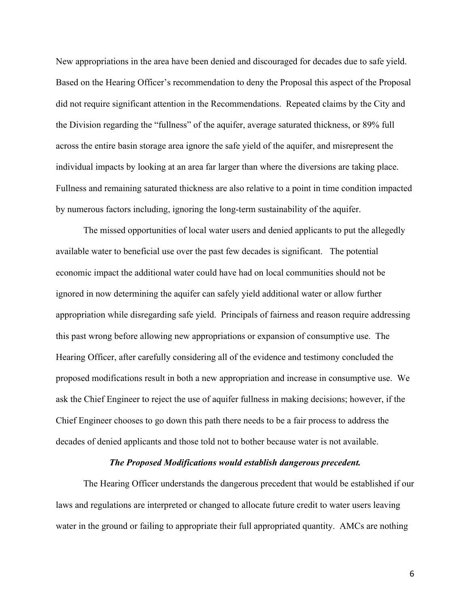New appropriations in the area have been denied and discouraged for decades due to safe yield. Based on the Hearing Officer's recommendation to deny the Proposal this aspect of the Proposal did not require significant attention in the Recommendations. Repeated claims by the City and the Division regarding the "fullness" of the aquifer, average saturated thickness, or 89% full across the entire basin storage area ignore the safe yield of the aquifer, and misrepresent the individual impacts by looking at an area far larger than where the diversions are taking place. Fullness and remaining saturated thickness are also relative to a point in time condition impacted by numerous factors including, ignoring the long-term sustainability of the aquifer.

The missed opportunities of local water users and denied applicants to put the allegedly available water to beneficial use over the past few decades is significant. The potential economic impact the additional water could have had on local communities should not be ignored in now determining the aquifer can safely yield additional water or allow further appropriation while disregarding safe yield. Principals of fairness and reason require addressing this past wrong before allowing new appropriations or expansion of consumptive use. The Hearing Officer, after carefully considering all of the evidence and testimony concluded the proposed modifications result in both a new appropriation and increase in consumptive use. We ask the Chief Engineer to reject the use of aquifer fullness in making decisions; however, if the Chief Engineer chooses to go down this path there needs to be a fair process to address the decades of denied applicants and those told not to bother because water is not available.

### *The Proposed Modifications would establish dangerous precedent.*

The Hearing Officer understands the dangerous precedent that would be established if our laws and regulations are interpreted or changed to allocate future credit to water users leaving water in the ground or failing to appropriate their full appropriated quantity. AMCs are nothing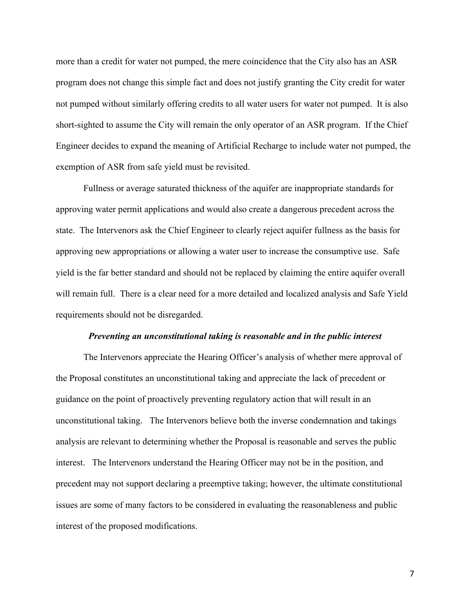more than a credit for water not pumped, the mere coincidence that the City also has an ASR program does not change this simple fact and does not justify granting the City credit for water not pumped without similarly offering credits to all water users for water not pumped. It is also short-sighted to assume the City will remain the only operator of an ASR program. If the Chief Engineer decides to expand the meaning of Artificial Recharge to include water not pumped, the exemption of ASR from safe yield must be revisited.

Fullness or average saturated thickness of the aquifer are inappropriate standards for approving water permit applications and would also create a dangerous precedent across the state. The Intervenors ask the Chief Engineer to clearly reject aquifer fullness as the basis for approving new appropriations or allowing a water user to increase the consumptive use. Safe yield is the far better standard and should not be replaced by claiming the entire aquifer overall will remain full. There is a clear need for a more detailed and localized analysis and Safe Yield requirements should not be disregarded.

#### *Preventing an unconstitutional taking is reasonable and in the public interest*

The Intervenors appreciate the Hearing Officer's analysis of whether mere approval of the Proposal constitutes an unconstitutional taking and appreciate the lack of precedent or guidance on the point of proactively preventing regulatory action that will result in an unconstitutional taking. The Intervenors believe both the inverse condemnation and takings analysis are relevant to determining whether the Proposal is reasonable and serves the public interest. The Intervenors understand the Hearing Officer may not be in the position, and precedent may not support declaring a preemptive taking; however, the ultimate constitutional issues are some of many factors to be considered in evaluating the reasonableness and public interest of the proposed modifications.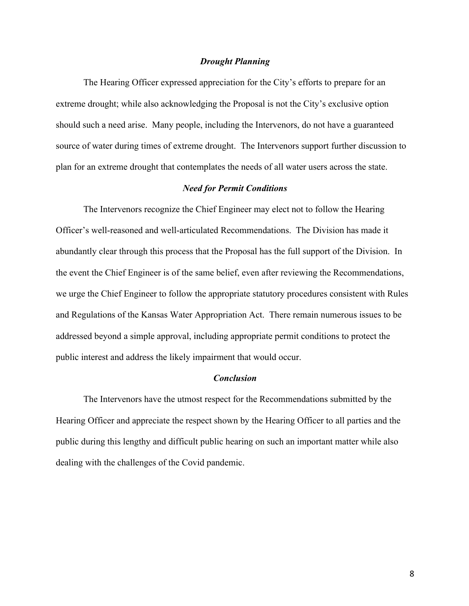#### *Drought Planning*

The Hearing Officer expressed appreciation for the City's efforts to prepare for an extreme drought; while also acknowledging the Proposal is not the City's exclusive option should such a need arise. Many people, including the Intervenors, do not have a guaranteed source of water during times of extreme drought. The Intervenors support further discussion to plan for an extreme drought that contemplates the needs of all water users across the state.

#### *Need for Permit Conditions*

The Intervenors recognize the Chief Engineer may elect not to follow the Hearing Officer's well-reasoned and well-articulated Recommendations. The Division has made it abundantly clear through this process that the Proposal has the full support of the Division. In the event the Chief Engineer is of the same belief, even after reviewing the Recommendations, we urge the Chief Engineer to follow the appropriate statutory procedures consistent with Rules and Regulations of the Kansas Water Appropriation Act. There remain numerous issues to be addressed beyond a simple approval, including appropriate permit conditions to protect the public interest and address the likely impairment that would occur.

#### *Conclusion*

The Intervenors have the utmost respect for the Recommendations submitted by the Hearing Officer and appreciate the respect shown by the Hearing Officer to all parties and the public during this lengthy and difficult public hearing on such an important matter while also dealing with the challenges of the Covid pandemic.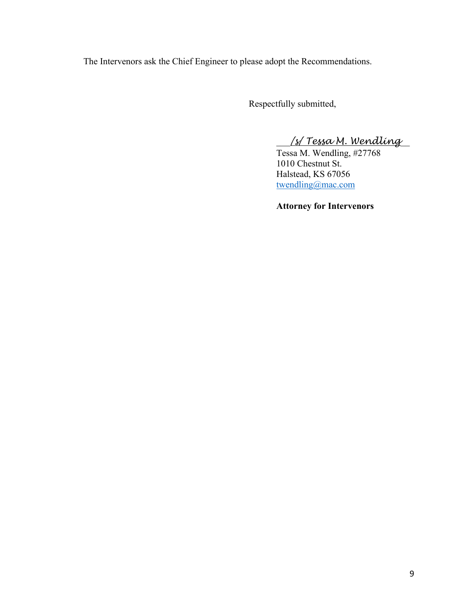The Intervenors ask the Chief Engineer to please adopt the Recommendations.

Respectfully submitted,

\_\_\_*/s/ Tessa M. Wendling*\_\_

Tessa M. Wendling, #27768 1010 Chestnut St. Halstead, KS 67056 twendling@mac.com

**Attorney for Intervenors**